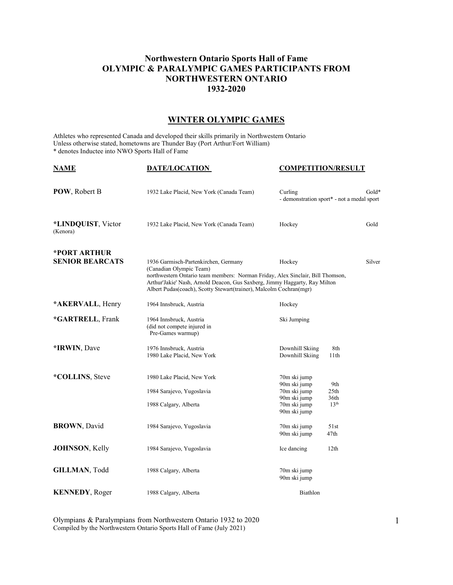## **Northwestern Ontario Sports Hall of Fame OLYMPIC & PARALYMPIC GAMES PARTICIPANTS FROM NORTHWESTERN ONTARIO 1932-2020**

## **WINTER OLYMPIC GAMES**

Athletes who represented Canada and developed their skills primarily in Northwestern Ontario Unless otherwise stated, hometowns are Thunder Bay (Port Arthur/Fort William) \* denotes Inductee into NWO Sports Hall of Fame

| <b>NAME</b>                            | <b>DATE/LOCATION</b>                                                                                                                                                                                                                                                                                  | <b>COMPETITION/RESULT</b>                                    |                                                       |
|----------------------------------------|-------------------------------------------------------------------------------------------------------------------------------------------------------------------------------------------------------------------------------------------------------------------------------------------------------|--------------------------------------------------------------|-------------------------------------------------------|
| POW, Robert B                          | 1932 Lake Placid, New York (Canada Team)                                                                                                                                                                                                                                                              | Curling                                                      | $Gold*$<br>- demonstration sport* - not a medal sport |
| *LINDQUIST, Victor<br>(Kenora)         | 1932 Lake Placid, New York (Canada Team)                                                                                                                                                                                                                                                              | Hockey                                                       | Gold                                                  |
| *PORT ARTHUR<br><b>SENIOR BEARCATS</b> | 1936 Garmisch-Partenkirchen, Germany<br>(Canadian Olympic Team)<br>northwestern Ontario team members: Norman Friday, Alex Sinclair, Bill Thomson,<br>Arthur'Jakie' Nash, Arnold Deacon, Gus Saxberg, Jimmy Haggarty, Ray Milton<br>Albert Pudas(coach), Scotty Stewart(trainer), Malcolm Cochran(mgr) | Hockey                                                       | Silver                                                |
| *AKERVALL, Henry                       | 1964 Innsbruck, Austria                                                                                                                                                                                                                                                                               | Hockey                                                       |                                                       |
| *GARTRELL, Frank                       | 1964 Innsbruck, Austria<br>(did not compete injured in<br>Pre-Games warmup)                                                                                                                                                                                                                           | Ski Jumping                                                  |                                                       |
| *IRWIN, Dave                           | 1976 Innsbruck, Austria<br>1980 Lake Placid, New York                                                                                                                                                                                                                                                 | Downhill Skiing<br>Downhill Skiing                           | 8th<br>11th                                           |
| *COLLINS, Steve                        | 1980 Lake Placid, New York<br>1984 Sarajevo, Yugoslavia                                                                                                                                                                                                                                               | 70m ski jump<br>90m ski jump<br>70m ski jump<br>90m ski jump | 9th<br>25 <sub>th</sub><br>36th                       |
|                                        | 1988 Calgary, Alberta                                                                                                                                                                                                                                                                                 | 70m ski jump<br>90m ski jump                                 | 13 <sup>th</sup>                                      |
| <b>BROWN, David</b>                    | 1984 Sarajevo, Yugoslavia                                                                                                                                                                                                                                                                             | 70m ski jump<br>90m ski jump                                 | 51st<br>47th                                          |
| <b>JOHNSON</b> , Kelly                 | 1984 Sarajevo, Yugoslavia                                                                                                                                                                                                                                                                             | Ice dancing                                                  | 12 <sub>th</sub>                                      |
| GILLMAN, Todd                          | 1988 Calgary, Alberta                                                                                                                                                                                                                                                                                 | 70m ski jump<br>90m ski jump                                 |                                                       |
| <b>KENNEDY, Roger</b>                  | 1988 Calgary, Alberta                                                                                                                                                                                                                                                                                 | <b>Biathlon</b>                                              |                                                       |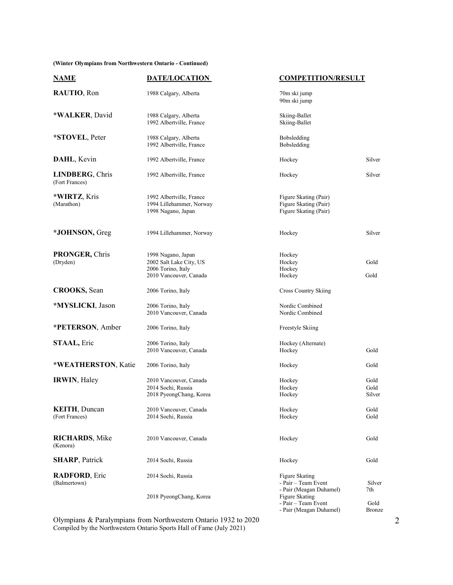**(Winter Olympians from Northwestern Ontario - Continued)**

| <b>NAME</b>                              | <b>DATE/LOCATION</b>                                                                          | <b>COMPETITION/RESULT</b>                                               |                        |
|------------------------------------------|-----------------------------------------------------------------------------------------------|-------------------------------------------------------------------------|------------------------|
| RAUTIO, Ron                              | 1988 Calgary, Alberta                                                                         | 70m ski jump<br>90m ski jump                                            |                        |
| *WALKER, David                           | 1988 Calgary, Alberta<br>1992 Albertville, France                                             | Skiing-Ballet<br>Skiing-Ballet                                          |                        |
| *STOVEL, Peter                           | 1988 Calgary, Alberta<br>1992 Albertville, France                                             | Bobsledding<br>Bobsledding                                              |                        |
| DAHL, Kevin                              | 1992 Albertville, France                                                                      | Hockey                                                                  | Silver                 |
| <b>LINDBERG, Chris</b><br>(Fort Frances) | 1992 Albertville, France                                                                      | Hockey                                                                  | Silver                 |
| *WIRTZ, Kris<br>(Marathon)               | 1992 Albertville, France<br>1994 Lillehammer, Norway<br>1998 Nagano, Japan                    | Figure Skating (Pair)<br>Figure Skating (Pair)<br>Figure Skating (Pair) |                        |
| *JOHNSON, Greg                           | 1994 Lillehammer, Norway                                                                      | Hockey                                                                  | Silver                 |
| <b>PRONGER, Chris</b><br>(Dryden)        | 1998 Nagano, Japan<br>2002 Salt Lake City, US<br>2006 Torino, Italy<br>2010 Vancouver, Canada | Hockey<br>Hockey<br>Hockey<br>Hockey                                    | Gold<br>Gold           |
| <b>CROOKS</b> , Sean                     | 2006 Torino, Italy                                                                            | <b>Cross Country Skiing</b>                                             |                        |
| *MYSLICKI, Jason                         | 2006 Torino, Italy<br>2010 Vancouver, Canada                                                  | Nordic Combined<br>Nordic Combined                                      |                        |
| *PETERSON, Amber                         | 2006 Torino, Italy                                                                            | Freestyle Skiing                                                        |                        |
| <b>STAAL</b> , Eric                      | 2006 Torino, Italy<br>2010 Vancouver, Canada                                                  | Hockey (Alternate)<br>Hockey                                            | Gold                   |
| *WEATHERSTON, Katie                      | 2006 Torino, Italy                                                                            | Hockey                                                                  | Gold                   |
| IRWIN, Haley                             | 2010 Vancouver, Canada<br>2014 Sochi, Russia<br>2018 PyeongChang, Korea                       | Hockey<br>Hockey<br>Hockey                                              | Gold<br>Gold<br>Silver |
| <b>KEITH, Duncan</b><br>(Fort Frances)   | 2010 Vancouver, Canada<br>2014 Sochi, Russia                                                  | Hockey<br>Hockey                                                        | Gold<br>Gold           |
| <b>RICHARDS</b> , Mike<br>(Kenora)       | 2010 Vancouver, Canada                                                                        | Hockey                                                                  | Gold                   |
| <b>SHARP, Patrick</b>                    | 2014 Sochi, Russia                                                                            | Hockey                                                                  | Gold                   |
| <b>RADFORD</b> , Eric<br>(Balmertown)    | 2014 Sochi, Russia                                                                            | Figure Skating<br>- Pair – Team Event<br>- Pair (Meagan Duhamel)        | Silver<br>7th          |
|                                          | 2018 PyeongChang, Korea                                                                       | Figure Skating<br>- Pair - Team Event<br>- Pair (Meagan Duhamel)        | Gold<br>Bronze         |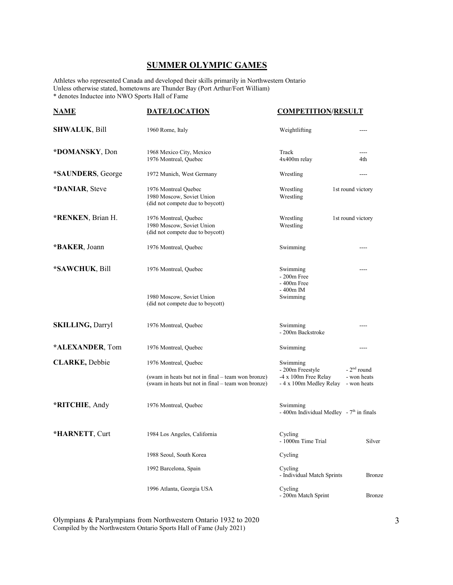## **SUMMER OLYMPIC GAMES**

Athletes who represented Canada and developed their skills primarily in Northwestern Ontario Unless otherwise stated, hometowns are Thunder Bay (Port Arthur/Fort William) \* denotes Inductee into NWO Sports Hall of Fame

| <b>NAME</b>             | <b>DATE/LOCATION</b>                                                                                     | <b>COMPETITION/RESULT</b>                              |                            |
|-------------------------|----------------------------------------------------------------------------------------------------------|--------------------------------------------------------|----------------------------|
| <b>SHWALUK, Bill</b>    | 1960 Rome, Italy                                                                                         | Weightlifting                                          | $---$                      |
| *DOMANSKY, Don          | 1968 Mexico City, Mexico<br>1976 Montreal, Quebec                                                        | Track<br>4x400m relay                                  | 4th                        |
| *SAUNDERS, George       | 1972 Munich, West Germany                                                                                | Wrestling                                              | ----                       |
| *DANIAR, Steve          | 1976 Montreal Quebec<br>1980 Moscow, Soviet Union<br>(did not compete due to boycott)                    | Wrestling<br>Wrestling                                 | 1st round victory          |
| *RENKEN, Brian H.       | 1976 Montreal, Quebec<br>1980 Moscow, Soviet Union<br>(did not compete due to boycott)                   | Wrestling<br>Wrestling                                 | 1st round victory          |
| *BAKER, Joann           | 1976 Montreal, Quebec                                                                                    | Swimming                                               | ----                       |
| *SAWCHUK, Bill          | 1976 Montreal, Quebec                                                                                    | Swimming<br>$-200$ m Free<br>$-400m$ Free              |                            |
|                         | 1980 Moscow, Soviet Union<br>(did not compete due to boycott)                                            | - 400m IM<br>Swimming                                  |                            |
| <b>SKILLING, Darryl</b> | 1976 Montreal, Quebec                                                                                    | Swimming<br>- 200m Backstroke                          | ----                       |
| *ALEXANDER, Tom         | 1976 Montreal, Quebec                                                                                    | Swimming                                               | ----                       |
| <b>CLARKE, Debbie</b>   | 1976 Montreal, Quebec                                                                                    | Swimming<br>- 200m Freestyle                           | $-2nd$ round               |
|                         | (swam in heats but not in final – team won bronze)<br>(swam in heats but not in final - team won bronze) | -4 x 100m Free Relay<br>- 4 x 100m Medley Relay        | - won heats<br>- won heats |
| *RITCHIE, Andy          | 1976 Montreal, Quebec                                                                                    | Swimming<br>- 400m Individual Medley - $7th$ in finals |                            |
| *HARNETT, Curt          | 1984 Los Angeles, California                                                                             | Cycling<br>- $1000m$ Time Trial                        | Silver                     |
|                         | 1988 Seoul, South Korea                                                                                  | Cycling                                                |                            |
|                         | 1992 Barcelona, Spain                                                                                    | Cycling<br>- Individual Match Sprints                  | <b>Bronze</b>              |
|                         | 1996 Atlanta, Georgia USA                                                                                | Cycling<br>- 200m Match Sprint                         | Bronze                     |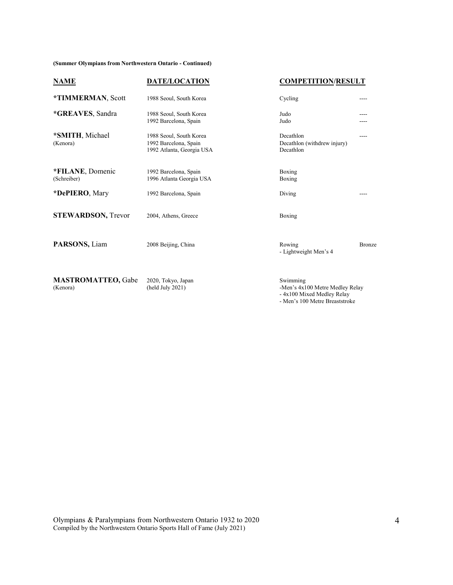**(Summer Olympians from Northwestern Ontario - Continued)**

| <b>NAME</b>                           | <b>DATE/LOCATION</b>                                                          | <b>COMPETITION/RESULT</b>                                                 |               |
|---------------------------------------|-------------------------------------------------------------------------------|---------------------------------------------------------------------------|---------------|
| *TIMMERMAN, Scott                     | 1988 Seoul, South Korea                                                       | Cycling                                                                   | ----          |
| *GREAVES, Sandra                      | 1988 Seoul, South Korea<br>1992 Barcelona, Spain                              | Judo<br>Judo                                                              |               |
| *SMITH, Michael<br>(Kenora)           | 1988 Seoul, South Korea<br>1992 Barcelona, Spain<br>1992 Atlanta, Georgia USA | Decathlon<br>Decathlon (withdrew injury)<br>Decathlon                     | ----          |
| *FILANE, Domenic<br>(Schreiber)       | 1992 Barcelona, Spain<br>1996 Atlanta Georgia USA                             | Boxing<br>Boxing                                                          |               |
| *DePIERO, Mary                        | 1992 Barcelona, Spain                                                         | Diving                                                                    |               |
| <b>STEWARDSON, Trevor</b>             | 2004, Athens, Greece                                                          | Boxing                                                                    |               |
| PARSONS, Liam                         | 2008 Beijing, China                                                           | Rowing<br>- Lightweight Men's 4                                           | <b>Bronze</b> |
| <b>MASTROMATTEO, Gabe</b><br>(Kenora) | 2020, Tokyo, Japan<br>(held July 2021)                                        | Swimming<br>-Men's 4x100 Metre Medley Relay<br>- 4x100 Mixed Medley Relay |               |

- Men's 100 Metre Breaststroke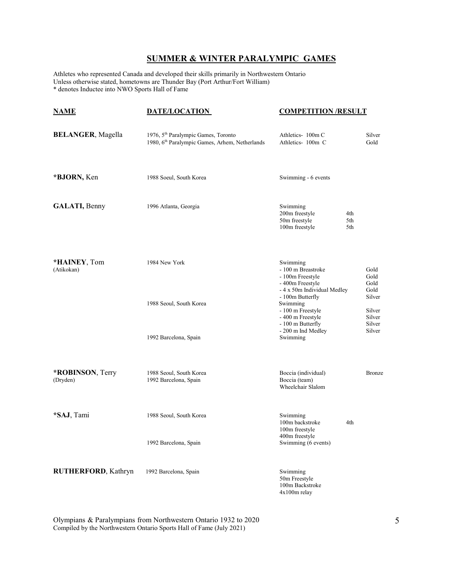## **SUMMER & WINTER PARALYMPIC GAMES**

Athletes who represented Canada and developed their skills primarily in Northwestern Ontario Unless otherwise stated, hometowns are Thunder Bay (Port Arthur/Fort William) \* denotes Inductee into NWO Sports Hall of Fame

| <u>NAME</u>                 | <b>DATE/LOCATION</b>                                                                                          | <b>COMPETITION/RESULT</b>                                                                                                     |                                                |
|-----------------------------|---------------------------------------------------------------------------------------------------------------|-------------------------------------------------------------------------------------------------------------------------------|------------------------------------------------|
| <b>BELANGER</b> , Magella   | 1976, 5 <sup>th</sup> Paralympic Games, Toronto<br>1980, 6 <sup>th</sup> Paralympic Games, Arhem, Netherlands | Athletics-100m C<br>Athletics- 100m C                                                                                         | Silver<br>Gold                                 |
| *BJORN, Ken                 | 1988 Soeul, South Korea                                                                                       | Swimming - 6 events                                                                                                           |                                                |
| <b>GALATI, Benny</b>        | 1996 Atlanta, Georgia                                                                                         | Swimming<br>200m freestyle<br>4th<br>50m freestyle<br>5th<br>100m freestyle<br>5th                                            |                                                |
| *HAINEY, Tom<br>(Atikokan)  | 1984 New York                                                                                                 | Swimming<br>- 100 m Breastroke<br>- 100m Freestyle<br>- 400m Freestyle<br>- 4 x 50m Individual Medley                         | Gold<br>Gold<br>Gold<br>Gold                   |
|                             | 1988 Seoul, South Korea<br>1992 Barcelona, Spain                                                              | - 100m Butterfly<br>Swimming<br>- 100 m Freestyle<br>- 400 m Freestyle<br>- 100 m Butterfly<br>- 200 m Ind Medley<br>Swimming | Silver<br>Silver<br>Silver<br>Silver<br>Silver |
| *ROBINSON, Terry            | 1988 Seoul, South Korea                                                                                       | Boccia (individual)                                                                                                           | <b>Bronze</b>                                  |
| (Dryden)                    | 1992 Barcelona, Spain                                                                                         | Boccia (team)<br>Wheelchair Slalom                                                                                            |                                                |
| *SAJ, Tami                  | 1988 Seoul, South Korea                                                                                       | Swimming<br>100m backstroke<br>4th<br>100m freestyle<br>400m freestyle                                                        |                                                |
|                             | 1992 Barcelona, Spain                                                                                         | Swimming (6 events)                                                                                                           |                                                |
| <b>RUTHERFORD</b> , Kathryn | 1992 Barcelona, Spain                                                                                         | Swimming<br>50m Freestyle<br>100m Backstroke<br>4x100m relay                                                                  |                                                |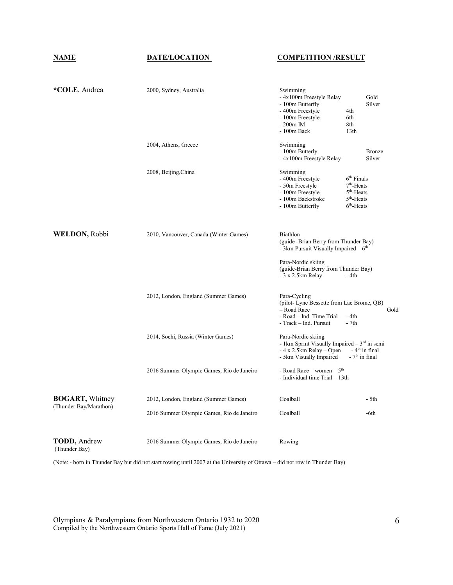**NAME DATE/LOCATION COMPETITION /RESULT**

| *COLE, Andrea                         | 2000, Sydney, Australia                   | Swimming<br>- 4x100m Freestyle Relay<br>- 100m Butterfly<br>- 400m Freestyle<br>- 100m Freestyle<br>$-200m$ IM<br>$-100m$ Back | Gold<br>Silver<br>4th<br>6th<br>8th<br>13 <sub>th</sub>                                                    |
|---------------------------------------|-------------------------------------------|--------------------------------------------------------------------------------------------------------------------------------|------------------------------------------------------------------------------------------------------------|
|                                       | 2004, Athens, Greece                      | Swimming<br>- 100m Butterly<br>- 4x100m Freestyle Relay                                                                        | <b>Bronze</b><br>Silver                                                                                    |
|                                       | 2008, Beijing, China                      | Swimming<br>- 400m Freestyle<br>- 50m Freestyle<br>- 100m Freestyle<br>- 100m Backstroke<br>- 100m Butterfly                   | $6th$ Finals<br>7 <sup>th</sup> -Heats<br>5 <sup>th</sup> -Heats<br>5 <sup>th</sup> -Heats<br>$6th$ -Heats |
| WELDON, Robbi                         | 2010, Vancouver, Canada (Winter Games)    | Biathlon<br>(guide -Brian Berry from Thunder Bay)<br>- 3km Pursuit Visually Impaired $-6th$                                    |                                                                                                            |
|                                       |                                           | Para-Nordic skiing<br>(guide-Brian Berry from Thunder Bay)<br>- 3 x 2.5km Relay                                                | - 4th                                                                                                      |
|                                       | 2012, London, England (Summer Games)      | Para-Cycling<br>(pilot-Lyne Bessette from Lac Brome, QB)<br>- Road Race<br>- Road – Ind. Time Trial<br>- Track - Ind. Pursuit  | Gold<br>- 4th<br>$-7th$                                                                                    |
|                                       | 2014, Sochi, Russia (Winter Games)        | Para-Nordic skiing<br>- 1 km Sprint Visually Impaired $-3^{rd}$ in semi<br>$-4x2.5km$ Relay – Open<br>- 5km Visually Impaired  | $-4th$ in final<br>$-7th$ in final                                                                         |
|                                       | 2016 Summer Olympic Games, Rio de Janeiro | - Road Race - women - $5th$<br>- Individual time Trial - 13th                                                                  |                                                                                                            |
| <b>BOGART</b> , Whitney               | 2012, London, England (Summer Games)      | Goalball                                                                                                                       | - 5th                                                                                                      |
| (Thunder Bay/Marathon)                | 2016 Summer Olympic Games, Rio de Janeiro | Goalball                                                                                                                       | -6th                                                                                                       |
| <b>TODD</b> , Andrew<br>(Thunder Bay) | 2016 Summer Olympic Games, Rio de Janeiro | Rowing                                                                                                                         |                                                                                                            |

(Note: - born in Thunder Bay but did not start rowing until 2007 at the University of Ottawa – did not row in Thunder Bay)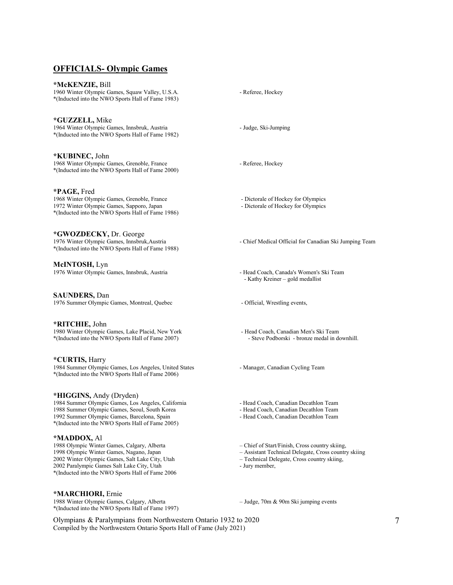### **OFFICIALS- Olympic Games**

#### **\*McKENZIE,** Bill 1960 Winter Olympic Games, Squaw Valley, U.S.A. - Referee, Hockey \*(Inducted into the NWO Sports Hall of Fame 1983)

**\*GUZZELL,** Mike 1964 Winter Olympic Games, Innsbruk, Austria - Judge, Ski-Jumping \*(Inducted into the NWO Sports Hall of Fame 1982)

**\*KUBINEC,** John 1968 Winter Olympic Games, Grenoble, France - Referee, Hockey \*(Inducted into the NWO Sports Hall of Fame 2000)

**\*PAGE,** Fred 1968 Winter Olympic Games, Grenoble, France - Dictorale of Hockey for Olympics 1972 Winter Olympic Games, Sapporo, Japan - Dictorale of Hockey for Olympics \*(Inducted into the NWO Sports Hall of Fame 1986)

**\*GWOZDECKY,** Dr. George \*(Inducted into the NWO Sports Hall of Fame 1988)

**McINTOSH,** Lyn 1976 Winter Olympic Games, Innsbruk, Austria - Head Coach, Canada's Women's Ski Team

**SAUNDERS,** Dan 1976 Summer Olympic Games, Montreal, Quebec - Official, Wrestling events,

**\*RITCHIE,** John 1980 Winter Olympic Games, Lake Placid, New York - Head Coach, Canadian Men's Ski Team<br>\*(Inducted into the NWO Sports Hall of Fame 2007) - Steve Podborski - bronze medal in downhill. \*(Inducted into the NWO Sports Hall of Fame 2007)

**\*CURTIS,** Harry 1984 Summer Olympic Games, Los Angeles, United States - Manager, Canadian Cycling Team \*(Inducted into the NWO Sports Hall of Fame 2006)

#### **\*HIGGINS,** Andy (Dryden)

1984 Summer Olympic Games, Los Angeles, California - Head Coach, Canadian Decathlon Team<br>1988 Summer Olympic Games, Seoul, South Korea - Head Coach, Canadian Decathlon Team 1988 Summer Olympic Games, Seoul, South Korea 1992 Summer Olympic Games, Barcelona, Spain - Head Coach, Canadian Decathlon Team \*(Inducted into the NWO Sports Hall of Fame 2005)

#### **\*MADDOX,** Al

1988 Olympic Winter Games, Calgary, Alberta – Chief of Start/Finish, Cross country skiing, 1998 Olympic Winter Games, Nagano, Japan – Assistant Technical Delegate, Cross country 2002 Winter Olympic Games, Salt Lake City, Utah 2002 Paralympic Games Salt Lake City, Utah - Jury member, \*(Inducted into the NWO Sports Hall of Fame 2006

**\*MARCHIORI,** Ernie 1988 Winter Olympic Games, Calgary, Alberta – Judge, 70m & 90m Ski jumping events \*(Inducted into the NWO Sports Hall of Fame 1997)

- Chief Medical Official for Canadian Ski Jumping Team

- Kathy Kreiner – gold medallist

- Assistant Technical Delegate, Cross country skiing<br>- Technical Delegate, Cross country skiing,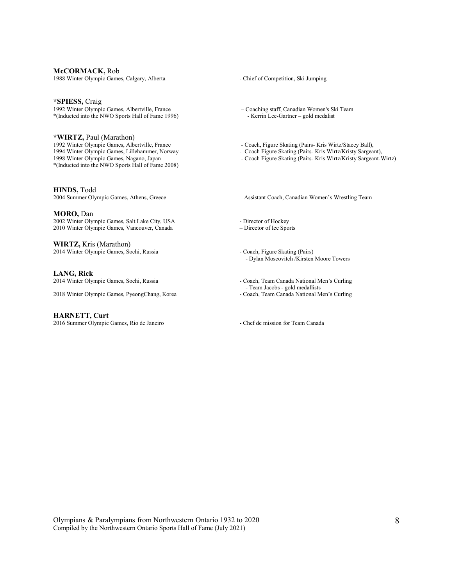#### **McCORMACK,** Rob

1988 Winter Olympic Games, Calgary, Alberta - Chief of Competition, Ski Jumping

#### **\*SPIESS,** Craig

1992 Winter Olympic Games, Albertville, France – Coaching staff, Canadian Women's Ski Team<br>\*(Inducted into the NWO Sports Hall of Fame 1996) – Kerrin Lee-Gartner – gold medalist \*(Inducted into the NWO Sports Hall of Fame 1996)  $-$ 

**\*WIRTZ,** Paul (Marathon) 1992 Winter Olympic Games, Albertville, France - Coach, Figure Skating (Pairs- Kris Wirtz/Stacey Ball), 1994 Winter Olympic Games, Lillehammer, Norway - Coach Figure Skating (Pairs- Kris Wirtz/Kristy Sargear 1994 Winter Olympic Games, Lillehammer, Norway - Coach Figure Skating (Pairs- Kris Wirtz/Kristy Sargeant), 1998 Winter Olympic Games, Nagano, Japan - Coach Figure Skating (Pairs- Kris Wirtz/Kristy Sargeant-V \*(Inducted into the NWO Sports Hall of Fame 2008)

**HINDS,** Todd

#### **MORO,** Dan

2002 Winter Olympic Games, Salt Lake City, USA - Director of Hockey<br>2010 Winter Olympic Games, Vancouver, Canada - - Director of Ice Sports 2010 Winter Olympic Games, Vancouver, Canada

**WIRTZ,** Kris (Marathon) 2014 Winter Olympic Games, Sochi, Russia - Coach, Figure Skating (Pairs)

**LANG, Rick**

2018 Winter Olympic Games, PyeongChang, Korea - Coach, Team Canada National Men's Curling

#### **HARNETT, Curt**

2016 Summer Olympic Games, Rio de Janeiro - Chef de mission for Team Canada

- 
- Coach Figure Skating (Pairs- Kris Wirtz/Kristy Sargeant-Wirtz)

2004 Summer Olympic Games, Athens, Greece – Assistant Coach, Canadian Women's Wrestling Team

- 
- Dylan Moscovitch /Kirsten Moore Towers
- Coach, Team Canada National Men's Curling - Team Jacobs - gold medallists
-